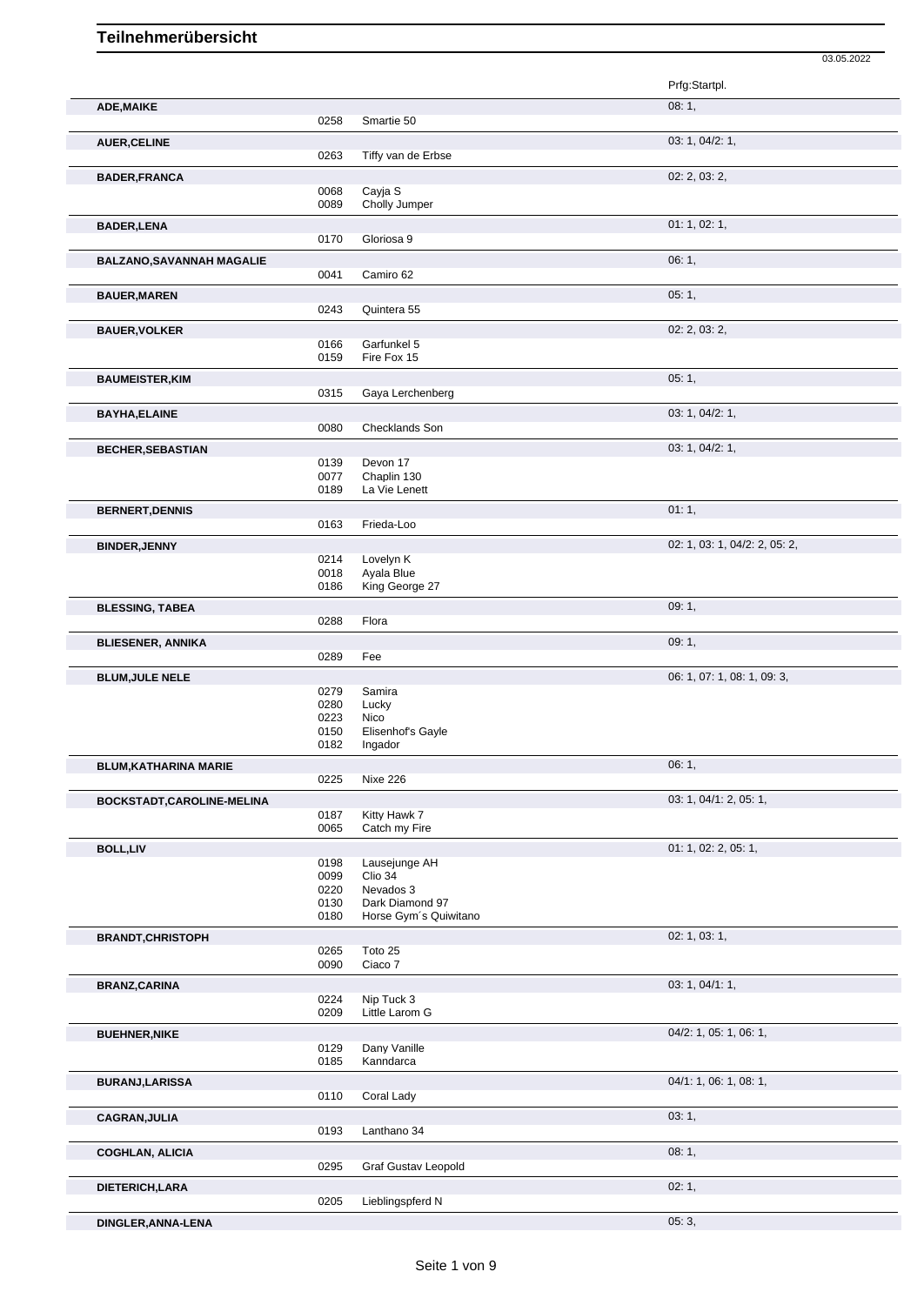|                                  |              |                                          | 03.05.2022                    |
|----------------------------------|--------------|------------------------------------------|-------------------------------|
|                                  |              |                                          | Prfg:Startpl.                 |
| ADE, MAIKE                       |              |                                          | 08:1,                         |
|                                  | 0258         | Smartie 50                               |                               |
| <b>AUER, CELINE</b>              | 0263         | Tiffy van de Erbse                       | 03: 1, 04/2: 1,               |
| <b>BADER, FRANCA</b>             |              |                                          | 02: 2, 03: 2,                 |
|                                  | 0068         | Cayja S                                  |                               |
|                                  | 0089         | Cholly Jumper                            |                               |
| <b>BADER, LENA</b>               |              |                                          | 01: 1, 02: 1,                 |
|                                  | 0170         | Gloriosa 9                               |                               |
| <b>BALZANO, SAVANNAH MAGALIE</b> |              |                                          | 06:1,                         |
|                                  | 0041         | Camiro 62                                |                               |
| <b>BAUER, MAREN</b>              |              |                                          | 05:1,                         |
|                                  | 0243         | Quintera 55                              |                               |
| <b>BAUER, VOLKER</b>             | 0166         | Garfunkel 5                              | 02: 2, 03: 2,                 |
|                                  | 0159         | Fire Fox 15                              |                               |
| <b>BAUMEISTER, KIM</b>           |              |                                          | 05:1,                         |
|                                  | 0315         | Gaya Lerchenberg                         |                               |
| <b>BAYHA, ELAINE</b>             |              |                                          | 03: 1, 04/2: 1,               |
|                                  | 0080         | Checklands Son                           |                               |
| <b>BECHER, SEBASTIAN</b>         |              |                                          | 03: 1, 04/2: 1,               |
|                                  | 0139         | Devon 17                                 |                               |
|                                  | 0077<br>0189 | Chaplin 130<br>La Vie Lenett             |                               |
|                                  |              |                                          | 01:1,                         |
| <b>BERNERT, DENNIS</b>           | 0163         | Frieda-Loo                               |                               |
|                                  |              |                                          | 02: 1, 03: 1, 04/2: 2, 05: 2, |
| <b>BINDER, JENNY</b>             | 0214         | Lovelyn K                                |                               |
|                                  | 0018         | Ayala Blue                               |                               |
|                                  | 0186         | King George 27                           |                               |
| <b>BLESSING, TABEA</b>           |              |                                          | 09:1,                         |
|                                  | 0288         | Flora                                    |                               |
| <b>BLIESENER, ANNIKA</b>         | 0289         | Fee                                      | 09:1,                         |
|                                  |              |                                          | 06: 1, 07: 1, 08: 1, 09: 3,   |
| <b>BLUM, JULE NELE</b>           | 0279         | Samira                                   |                               |
|                                  | 0280         | Lucky                                    |                               |
|                                  | 0223<br>0150 | Nico<br>Elisenhof's Gayle                |                               |
|                                  | 0182         | Ingador                                  |                               |
| <b>BLUM, KATHARINA MARIE</b>     |              |                                          | 06:1,                         |
|                                  | 0225         | Nixe 226                                 |                               |
| BOCKSTADT, CAROLINE-MELINA       |              |                                          | 03: 1, 04/1: 2, 05: 1,        |
|                                  | 0187         | Kitty Hawk 7                             |                               |
|                                  | 0065         | Catch my Fire                            |                               |
| <b>BOLL,LIV</b>                  |              |                                          | 01: 1, 02: 2, 05: 1,          |
|                                  | 0198<br>0099 | Lausejunge AH<br>Clio 34                 |                               |
|                                  | 0220         | Nevados 3                                |                               |
|                                  | 0130<br>0180 | Dark Diamond 97<br>Horse Gym's Quiwitano |                               |
|                                  |              |                                          |                               |
| <b>BRANDT, CHRISTOPH</b>         | 0265         | Toto 25                                  | 02: 1, 03: 1,                 |
|                                  | 0090         | Ciaco 7                                  |                               |
| <b>BRANZ, CARINA</b>             |              |                                          | 03: 1, 04/1: 1,               |
|                                  | 0224         | Nip Tuck 3                               |                               |
|                                  | 0209         | Little Larom G                           |                               |
| <b>BUEHNER, NIKE</b>             |              |                                          | 04/2: 1, 05: 1, 06: 1,        |
|                                  | 0129<br>0185 | Dany Vanille<br>Kanndarca                |                               |
|                                  |              |                                          |                               |
| <b>BURANJ,LARISSA</b>            | 0110         | Coral Lady                               | 04/1: 1, 06: 1, 08: 1,        |
|                                  |              |                                          |                               |
| <b>CAGRAN, JULIA</b>             | 0193         | Lanthano 34                              | 03:1,                         |
|                                  |              |                                          | 08:1,                         |
| <b>COGHLAN, ALICIA</b>           | 0295         | <b>Graf Gustav Leopold</b>               |                               |
| DIETERICH, LARA                  |              |                                          | 02:1,                         |
|                                  | 0205         | Lieblingspferd N                         |                               |
| DINGLER, ANNA-LENA               |              |                                          | 05:3,                         |
|                                  |              |                                          |                               |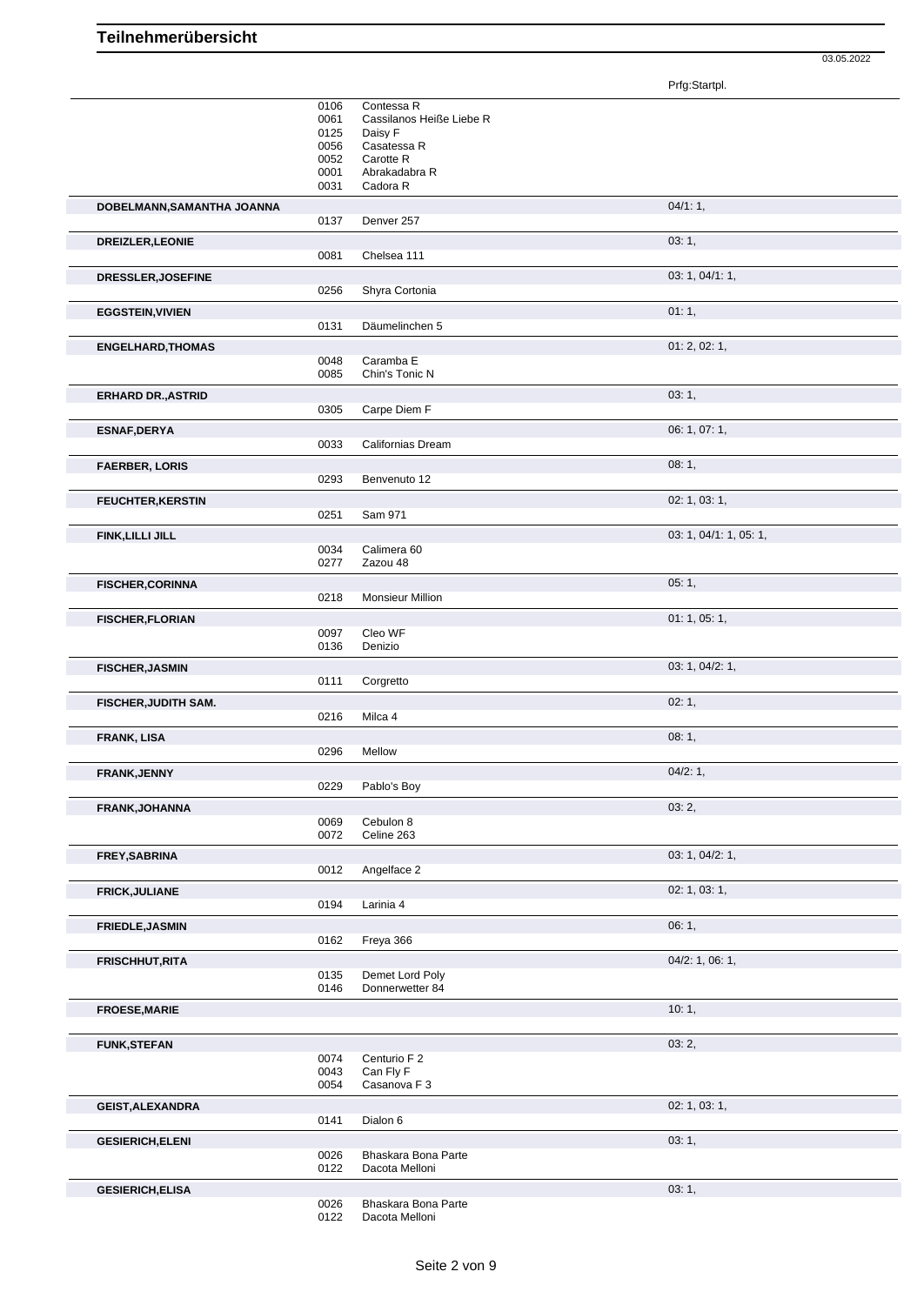Prfg:Startpl.

03.05.2022

|                             | 0106         | Contessa R                            |                        |
|-----------------------------|--------------|---------------------------------------|------------------------|
|                             | 0061         | Cassilanos Heiße Liebe R              |                        |
|                             | 0125         | Daisy F                               |                        |
|                             | 0056         | Casatessa R                           |                        |
|                             | 0052         | Carotte R                             |                        |
|                             | 0001         | Abrakadabra R                         |                        |
|                             | 0031         | Cadora R                              |                        |
| DOBELMANN, SAMANTHA JOANNA  |              |                                       | 04/1:1,                |
|                             | 0137         | Denver 257                            |                        |
| DREIZLER, LEONIE            |              |                                       | 03:1,                  |
|                             | 0081         | Chelsea 111                           |                        |
|                             |              |                                       |                        |
| DRESSLER, JOSEFINE          |              |                                       | 03: 1, 04/1: 1,        |
|                             | 0256         | Shyra Cortonia                        |                        |
| <b>EGGSTEIN, VIVIEN</b>     |              |                                       | 01:1,                  |
|                             | 0131         | Däumelinchen 5                        |                        |
| <b>ENGELHARD, THOMAS</b>    |              |                                       | 01: 2, 02: 1,          |
|                             | 0048         | Caramba E                             |                        |
|                             | 0085         | Chin's Tonic N                        |                        |
| <b>ERHARD DR., ASTRID</b>   |              |                                       | 03:1,                  |
|                             | 0305         | Carpe Diem F                          |                        |
|                             |              |                                       |                        |
| <b>ESNAF, DERYA</b>         |              |                                       | 06: 1, 07: 1,          |
|                             | 0033         | Californias Dream                     |                        |
| <b>FAERBER, LORIS</b>       |              |                                       | 08:1,                  |
|                             | 0293         | Benvenuto 12                          |                        |
| <b>FEUCHTER, KERSTIN</b>    |              |                                       | 02: 1, 03: 1,          |
|                             | 0251         | Sam 971                               |                        |
| FINK, LILLI JILL            |              |                                       | 03: 1, 04/1: 1, 05: 1, |
|                             | 0034         | Calimera <sub>60</sub>                |                        |
|                             | 0277         | Zazou 48                              |                        |
|                             |              |                                       | 05:1,                  |
| <b>FISCHER, CORINNA</b>     | 0218         | <b>Monsieur Million</b>               |                        |
|                             |              |                                       |                        |
| <b>FISCHER, FLORIAN</b>     |              |                                       | 01: 1, 05: 1,          |
|                             | 0097         | Cleo WF                               |                        |
|                             | 0136         | Denizio                               |                        |
| <b>FISCHER, JASMIN</b>      |              |                                       | 03: 1, 04/2: 1,        |
|                             | 0111         | Corgretto                             |                        |
| <b>FISCHER, JUDITH SAM.</b> |              |                                       | 02:1,                  |
|                             | 0216         | Milca 4                               |                        |
|                             |              |                                       | 08:1,                  |
| <b>FRANK, LISA</b>          | 0296         | Mellow                                |                        |
|                             |              |                                       |                        |
| FRANK, JENNY                |              |                                       | 04/2:1,                |
|                             | 0229         | Pablo's Boy                           |                        |
| FRANK, JOHANNA              |              |                                       | 03:2,                  |
|                             | 0069         | Cebulon 8                             |                        |
|                             | 0072         | Celine 263                            |                        |
| FREY, SABRINA               |              |                                       | 03: 1, 04/2: 1,        |
|                             | 0012         | Angelface 2                           |                        |
| <b>FRICK, JULIANE</b>       |              |                                       | 02: 1, 03: 1,          |
|                             | 0194         | Larinia 4                             |                        |
|                             |              |                                       |                        |
| <b>FRIEDLE, JASMIN</b>      |              |                                       | 06:1,                  |
|                             | 0162         | Freya 366                             |                        |
| <b>FRISCHHUT, RITA</b>      |              |                                       | $04/2$ : 1, 06: 1,     |
|                             | 0135         | Demet Lord Poly                       |                        |
|                             | 0146         | Donnerwetter 84                       |                        |
| <b>FROESE, MARIE</b>        |              |                                       | 10:1,                  |
|                             |              |                                       |                        |
| <b>FUNK, STEFAN</b>         |              |                                       | 03:2,                  |
|                             | 0074         | Centurio F 2                          |                        |
|                             | 0043         | Can Fly F                             |                        |
|                             | 0054         | Casanova F 3                          |                        |
| <b>GEIST, ALEXANDRA</b>     |              |                                       | 02: 1, 03: 1,          |
|                             | 0141         | Dialon 6                              |                        |
|                             |              |                                       |                        |
| <b>GESIERICH, ELENI</b>     |              |                                       | 03:1,                  |
|                             | 0026<br>0122 | Bhaskara Bona Parte<br>Dacota Melloni |                        |
|                             |              |                                       |                        |
| <b>GESIERICH, ELISA</b>     |              |                                       | 03:1,                  |
|                             | 0026         | Bhaskara Bona Parte                   |                        |
|                             | 0122         | Dacota Melloni                        |                        |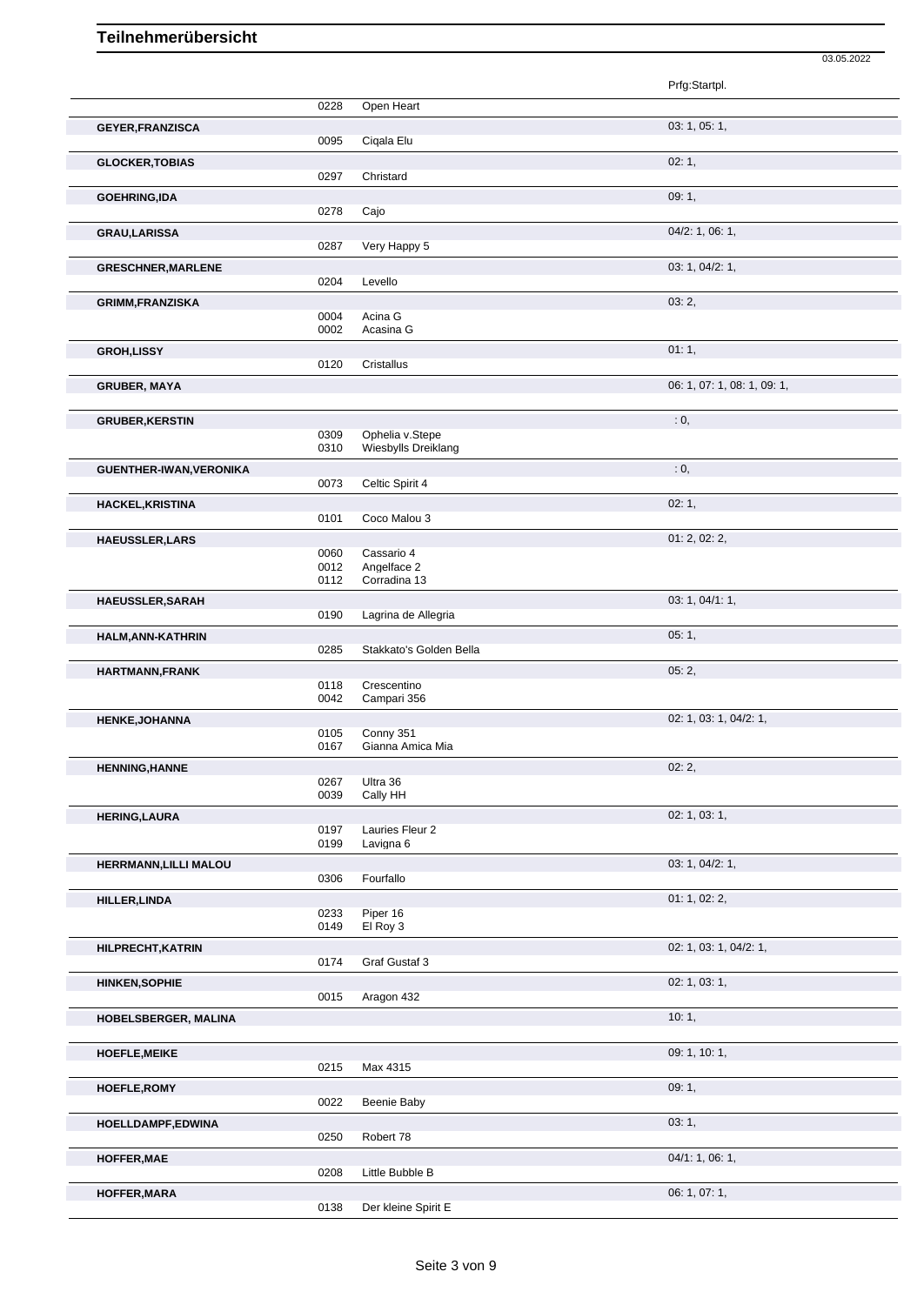|                           |              |                           | 03.05.2022                  |
|---------------------------|--------------|---------------------------|-----------------------------|
|                           |              |                           | Prfg:Startpl.               |
|                           | 0228         | Open Heart                |                             |
| <b>GEYER, FRANZISCA</b>   |              |                           | 03: 1, 05: 1,               |
|                           | 0095         | Cigala Elu                |                             |
| <b>GLOCKER, TOBIAS</b>    |              |                           | 02:1,                       |
|                           | 0297         | Christard                 |                             |
| <b>GOEHRING,IDA</b>       | 0278         |                           | 09:1,                       |
|                           |              | Cajo                      |                             |
| <b>GRAU,LARISSA</b>       | 0287         | Very Happy 5              | 04/2: 1, 06: 1,             |
| <b>GRESCHNER, MARLENE</b> |              |                           | 03: 1, 04/2: 1,             |
|                           | 0204         | Levello                   |                             |
| <b>GRIMM, FRANZISKA</b>   |              |                           | 03:2,                       |
|                           | 0004         | Acina G                   |                             |
|                           | 0002         | Acasina G                 |                             |
| <b>GROH,LISSY</b>         |              |                           | 01:1,                       |
|                           | 0120         | Cristallus                |                             |
| <b>GRUBER, MAYA</b>       |              |                           | 06: 1, 07: 1, 08: 1, 09: 1, |
|                           |              |                           | : 0,                        |
| <b>GRUBER, KERSTIN</b>    | 0309         | Ophelia v.Stepe           |                             |
|                           | 0310         | Wiesbylls Dreiklang       |                             |
| GUENTHER-IWAN, VERONIKA   |              |                           | : 0,                        |
|                           | 0073         | Celtic Spirit 4           |                             |
| <b>HACKEL, KRISTINA</b>   |              |                           | 02:1,                       |
|                           | 0101         | Coco Malou 3              |                             |
| <b>HAEUSSLER, LARS</b>    |              |                           | 01: 2, 02: 2,               |
|                           | 0060<br>0012 | Cassario 4<br>Angelface 2 |                             |
|                           | 0112         | Corradina 13              |                             |
| HAEUSSLER, SARAH          |              |                           | 03: 1, 04/1: 1,             |
|                           | 0190         | Lagrina de Allegria       |                             |
| HALM, ANN-KATHRIN         |              |                           | 05:1,                       |
|                           | 0285         | Stakkato's Golden Bella   |                             |
| HARTMANN, FRANK           |              | Crescentino               | 05:2,                       |
|                           | 0118<br>0042 | Campari 356               |                             |
| <b>HENKE, JOHANNA</b>     |              |                           | 02: 1, 03: 1, 04/2: 1,      |
|                           | 0105         | Conny 351                 |                             |
|                           | 0167         | Gianna Amica Mia          |                             |
| <b>HENNING, HANNE</b>     |              |                           | 02:2,                       |
|                           | 0267<br>0039 | Ultra 36<br>Cally HH      |                             |
| <b>HERING, LAURA</b>      |              |                           | 02: 1, 03: 1,               |
|                           | 0197         | Lauries Fleur 2           |                             |
|                           | 0199         | Lavigna 6                 |                             |
| HERRMANN, LILLI MALOU     |              |                           | 03: 1, 04/2: 1,             |
|                           | 0306         | Fourfallo                 |                             |
| <b>HILLER, LINDA</b>      |              |                           | 01: 1, 02: 2,               |
|                           | 0233<br>0149 | Piper 16<br>El Roy 3      |                             |
| HILPRECHT, KATRIN         |              |                           | 02: 1, 03: 1, 04/2: 1,      |
|                           | 0174         | Graf Gustaf 3             |                             |
| <b>HINKEN, SOPHIE</b>     |              |                           | 02: 1, 03: 1,               |
|                           | 0015         | Aragon 432                |                             |
| HOBELSBERGER, MALINA      |              |                           | 10:1,                       |
|                           |              |                           |                             |
| <b>HOEFLE, MEIKE</b>      |              |                           | 09: 1, 10: 1,               |
|                           | 0215         | Max 4315                  |                             |
| HOEFLE, ROMY              |              |                           | 09:1,                       |
|                           | 0022         | Beenie Baby               |                             |
| HOELLDAMPF,EDWINA         |              |                           | 03:1,                       |
|                           | 0250         | Robert 78                 |                             |
| HOFFER, MAE               | 0208         | Little Bubble B           | 04/1: 1, 06: 1,             |
| HOFFER, MARA              |              |                           | 06: 1, 07: 1,               |
|                           | 0138         | Der kleine Spirit E       |                             |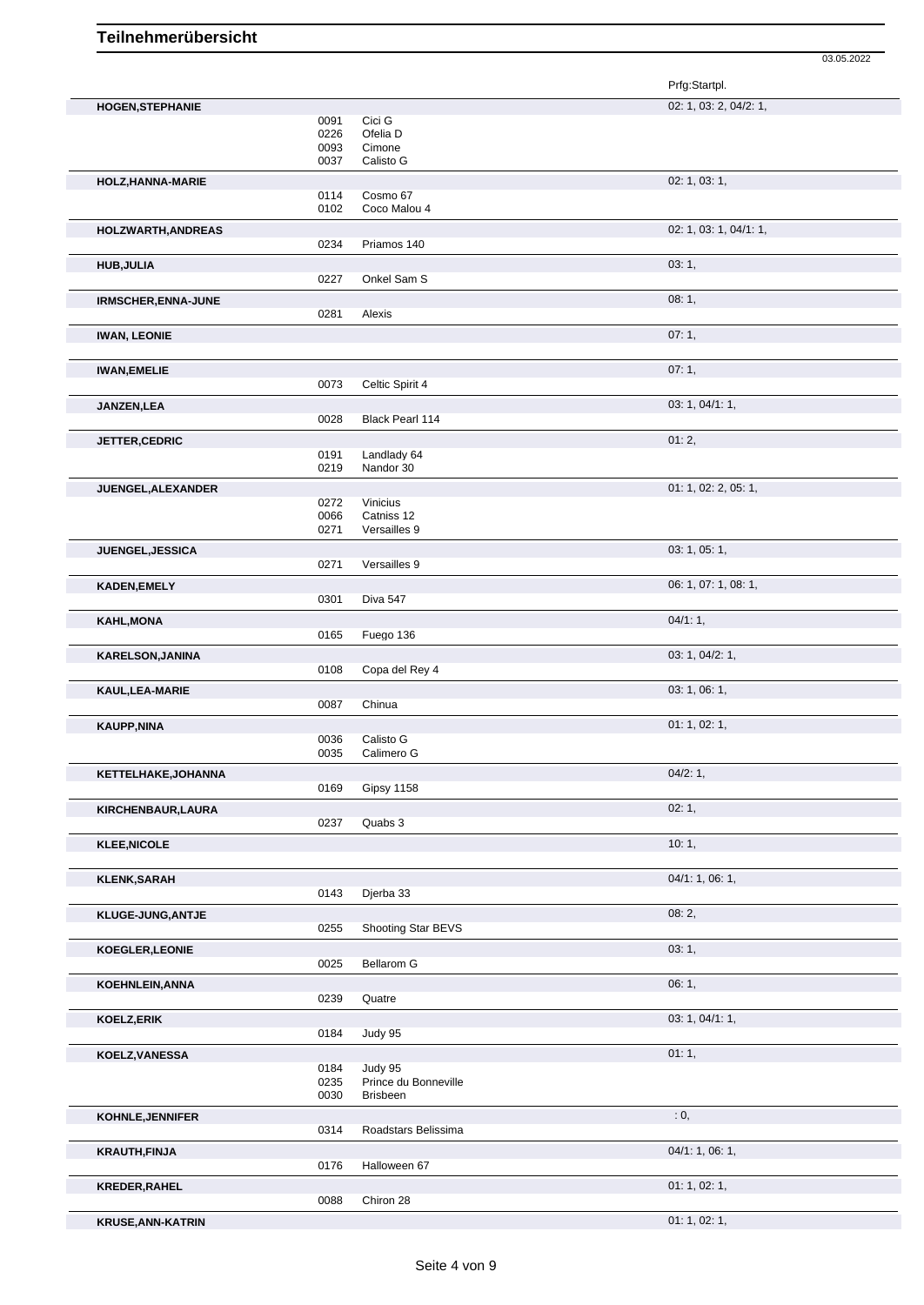03.05.2022

|                          |                              |                                           | Prfg:Startpl.          |
|--------------------------|------------------------------|-------------------------------------------|------------------------|
| <b>HOGEN, STEPHANIE</b>  |                              |                                           | 02: 1, 03: 2, 04/2: 1, |
|                          | 0091<br>0226<br>0093<br>0037 | Cici G<br>Ofelia D<br>Cimone<br>Calisto G |                        |
| HOLZ, HANNA-MARIE        |                              |                                           | 02: 1, 03: 1,          |
|                          | 0114<br>0102                 | Cosmo 67<br>Coco Malou 4                  |                        |
| HOLZWARTH, ANDREAS       |                              |                                           | 02: 1, 03: 1, 04/1: 1, |
|                          | 0234                         | Priamos 140                               |                        |
| <b>HUB, JULIA</b>        |                              |                                           | 03:1,                  |
|                          | 0227                         | Onkel Sam S                               |                        |
| IRMSCHER, ENNA-JUNE      | 0281                         | Alexis                                    | 08:1,                  |
|                          |                              |                                           | 07:1,                  |
| <b>IWAN, LEONIE</b>      |                              |                                           |                        |
| <b>IWAN, EMELIE</b>      |                              |                                           | 07:1,                  |
|                          | 0073                         | Celtic Spirit 4                           |                        |
| JANZEN, LEA              |                              |                                           | 03: 1, 04/1: 1,        |
|                          | 0028                         | Black Pearl 114                           |                        |
| JETTER, CEDRIC           | 0191                         | Landlady 64                               | 01:2,                  |
|                          | 0219                         | Nandor 30                                 |                        |
| JUENGEL, ALEXANDER       |                              |                                           | 01: 1, 02: 2, 05: 1,   |
|                          | 0272<br>0066                 | Vinicius<br>Catniss 12                    |                        |
|                          | 0271                         | Versailles 9                              |                        |
| JUENGEL, JESSICA         |                              |                                           | 03: 1, 05: 1,          |
|                          | 0271                         | Versailles 9                              |                        |
| <b>KADEN, EMELY</b>      | 0301                         | Diva 547                                  | 06: 1, 07: 1, 08: 1,   |
| <b>KAHL, MONA</b>        |                              |                                           | 04/1:1,                |
|                          | 0165                         | Fuego 136                                 |                        |
| <b>KARELSON, JANINA</b>  |                              |                                           | 03: 1, 04/2: 1,        |
|                          | 0108                         | Copa del Rey 4                            |                        |
| KAUL, LEA-MARIE          |                              |                                           | 03: 1, 06: 1,          |
|                          | 0087                         | Chinua                                    |                        |
| <b>KAUPP,NINA</b>        | 0036                         | Calisto G                                 | 01: 1, 02: 1,          |
|                          | 0035                         | Calimero G                                |                        |
| KETTELHAKE, JOHANNA      |                              |                                           | 04/2:1,                |
|                          | 0169                         | Gipsy 1158                                |                        |
| KIRCHENBAUR, LAURA       | 0237                         | Quabs 3                                   | 02:1,                  |
| <b>KLEE, NICOLE</b>      |                              |                                           | 10:1,                  |
|                          |                              |                                           |                        |
| <b>KLENK, SARAH</b>      |                              |                                           | 04/1: 1, 06: 1,        |
|                          | 0143                         | Djerba 33                                 |                        |
| KLUGE-JUNG, ANTJE        | 0255                         | Shooting Star BEVS                        | 08:2,                  |
| KOEGLER, LEONIE          |                              |                                           | 03:1,                  |
|                          | 0025                         | Bellarom G                                |                        |
| <b>KOEHNLEIN, ANNA</b>   |                              |                                           | 06:1,                  |
|                          | 0239                         | Quatre                                    |                        |
| <b>KOELZ, ERIK</b>       | 0184                         | Judy 95                                   | 03: 1, 04/1: 1,        |
|                          |                              |                                           | 01:1,                  |
| KOELZ, VANESSA           | 0184                         | Judy 95                                   |                        |
|                          | 0235                         | Prince du Bonneville                      |                        |
|                          | 0030                         | Brisbeen                                  |                        |
| KOHNLE, JENNIFER         | 0314                         | Roadstars Belissima                       | : 0,                   |
| <b>KRAUTH, FINJA</b>     |                              |                                           | 04/1: 1, 06: 1,        |
|                          | 0176                         | Halloween 67                              |                        |
| KREDER, RAHEL            |                              |                                           | 01: 1, 02: 1,          |
|                          | 0088                         | Chiron 28                                 |                        |
| <b>KRUSE, ANN-KATRIN</b> |                              |                                           | 01: 1, 02: 1,          |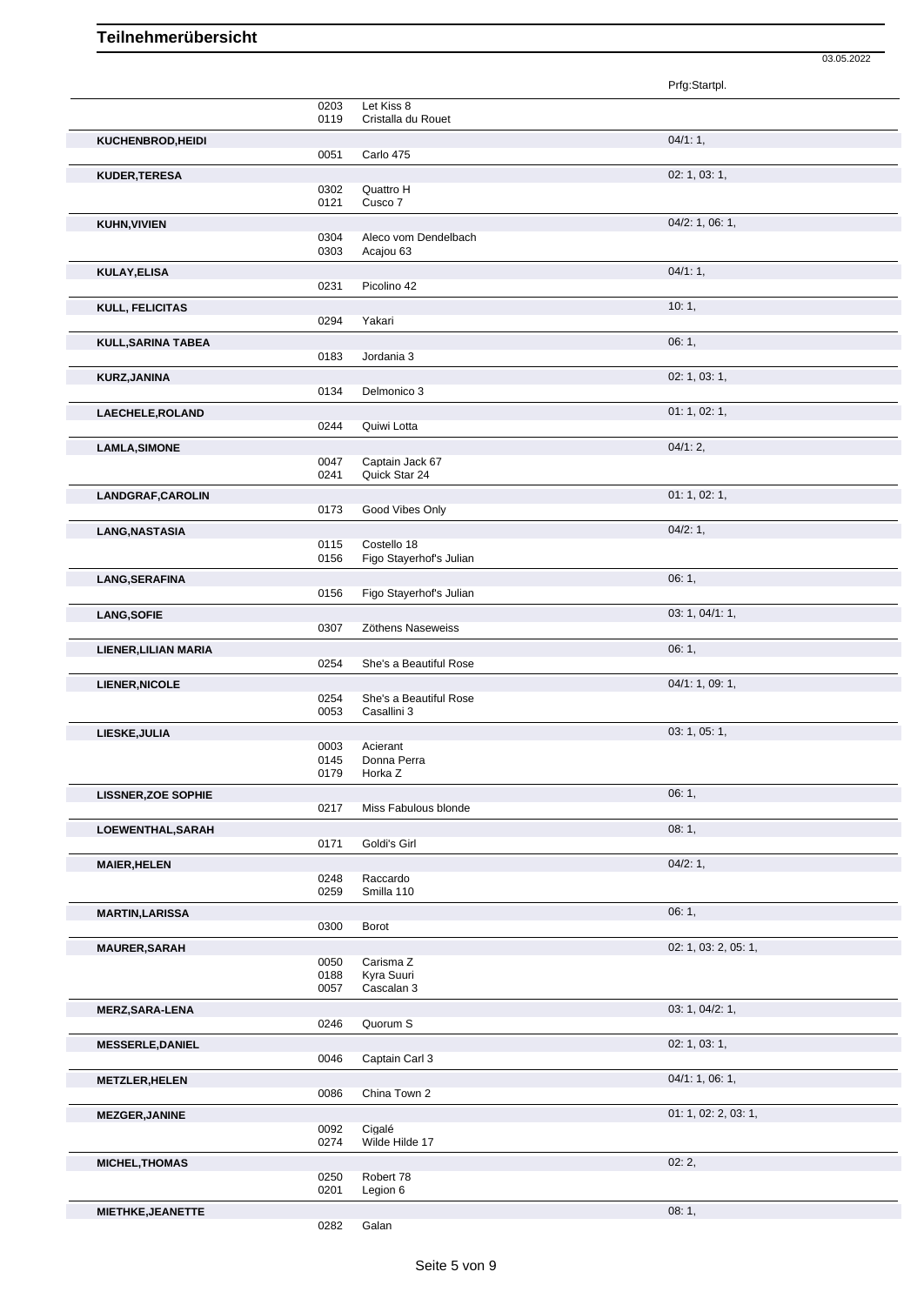|                            |      |                         | Prfg:Startpl.        |
|----------------------------|------|-------------------------|----------------------|
|                            | 0203 | Let Kiss 8              |                      |
|                            | 0119 | Cristalla du Rouet      |                      |
|                            |      |                         |                      |
| KUCHENBROD, HEIDI          |      |                         | 04/1:1,              |
|                            | 0051 | Carlo 475               |                      |
| <b>KUDER, TERESA</b>       |      |                         | 02: 1, 03: 1,        |
|                            | 0302 | Quattro H               |                      |
|                            | 0121 | Cusco 7                 |                      |
|                            |      |                         |                      |
| <b>KUHN, VIVIEN</b>        |      |                         | 04/2: 1, 06: 1,      |
|                            | 0304 | Aleco vom Dendelbach    |                      |
|                            | 0303 | Acajou 63               |                      |
| <b>KULAY, ELISA</b>        |      |                         | 04/1:1,              |
|                            | 0231 | Picolino 42             |                      |
|                            |      |                         |                      |
| KULL, FELICITAS            |      |                         | 10:1,                |
|                            | 0294 | Yakari                  |                      |
|                            |      |                         |                      |
| <b>KULL, SARINA TABEA</b>  |      |                         | 06:1,                |
|                            | 0183 | Jordania 3              |                      |
| <b>KURZ, JANINA</b>        |      |                         | 02: 1, 03: 1,        |
|                            | 0134 | Delmonico 3             |                      |
|                            |      |                         |                      |
| LAECHELE, ROLAND           |      |                         | 01: 1, 02: 1,        |
|                            | 0244 | Quiwi Lotta             |                      |
| <b>LAMLA, SIMONE</b>       |      |                         | 04/1:2,              |
|                            | 0047 | Captain Jack 67         |                      |
|                            | 0241 | Quick Star 24           |                      |
|                            |      |                         |                      |
| LANDGRAF, CAROLIN          |      |                         | 01: 1, 02: 1,        |
|                            | 0173 | Good Vibes Only         |                      |
|                            |      |                         |                      |
| LANG, NASTASIA             |      |                         | 04/2:1,              |
|                            | 0115 | Costello 18             |                      |
|                            | 0156 | Figo Stayerhof's Julian |                      |
| LANG, SERAFINA             |      |                         | 06:1,                |
|                            | 0156 | Figo Stayerhof's Julian |                      |
|                            |      |                         |                      |
| <b>LANG, SOFIE</b>         |      |                         | 03: 1, 04/1: 1,      |
|                            | 0307 | Zöthens Naseweiss       |                      |
| LIENER, LILIAN MARIA       |      |                         | 06:1,                |
|                            | 0254 | She's a Beautiful Rose  |                      |
|                            |      |                         |                      |
| <b>LIENER, NICOLE</b>      |      |                         | 04/1: 1, 09: 1,      |
|                            | 0254 | She's a Beautiful Rose  |                      |
|                            | 0053 | Casallini 3             |                      |
| LIESKE, JULIA              |      |                         | 03: 1, 05: 1,        |
|                            | 0003 | Acierant                |                      |
|                            | 0145 | Donna Perra             |                      |
|                            | 0179 | Horka Z                 |                      |
|                            |      |                         |                      |
| <b>LISSNER, ZOE SOPHIE</b> |      |                         | 06:1,                |
|                            | 0217 | Miss Fabulous blonde    |                      |
| LOEWENTHAL, SARAH          |      |                         | 08:1,                |
|                            | 0171 | Goldi's Girl            |                      |
|                            |      |                         |                      |
| <b>MAIER, HELEN</b>        |      |                         | 04/2:1,              |
|                            | 0248 | Raccardo                |                      |
|                            | 0259 | Smilla 110              |                      |
|                            |      |                         |                      |
| <b>MARTIN, LARISSA</b>     |      |                         | 06:1,                |
|                            | 0300 | Borot                   |                      |
| <b>MAURER, SARAH</b>       |      |                         | 02: 1, 03: 2, 05: 1, |
|                            | 0050 | Carisma Z               |                      |
|                            | 0188 | Kyra Suuri              |                      |
|                            | 0057 | Cascalan 3              |                      |
|                            |      |                         |                      |
| <b>MERZ, SARA-LENA</b>     |      |                         | 03: 1, 04/2: 1,      |
|                            | 0246 | Quorum S                |                      |
| <b>MESSERLE, DANIEL</b>    |      |                         | 02: 1, 03: 1,        |
|                            | 0046 | Captain Carl 3          |                      |
|                            |      |                         |                      |
| <b>METZLER, HELEN</b>      |      |                         | 04/1: 1, 06: 1,      |
|                            | 0086 | China Town 2            |                      |
| <b>MEZGER, JANINE</b>      |      |                         | 01: 1, 02: 2, 03: 1, |
|                            | 0092 | Cigalé                  |                      |
|                            | 0274 | Wilde Hilde 17          |                      |
|                            |      |                         |                      |
| <b>MICHEL, THOMAS</b>      |      |                         | 02:2,                |
|                            | 0250 | Robert 78               |                      |
|                            | 0201 | Legion 6                |                      |
|                            |      |                         |                      |
|                            |      |                         |                      |
| MIETHKE, JEANETTE          | 0282 | Galan                   | 08:1,                |

03.05.2022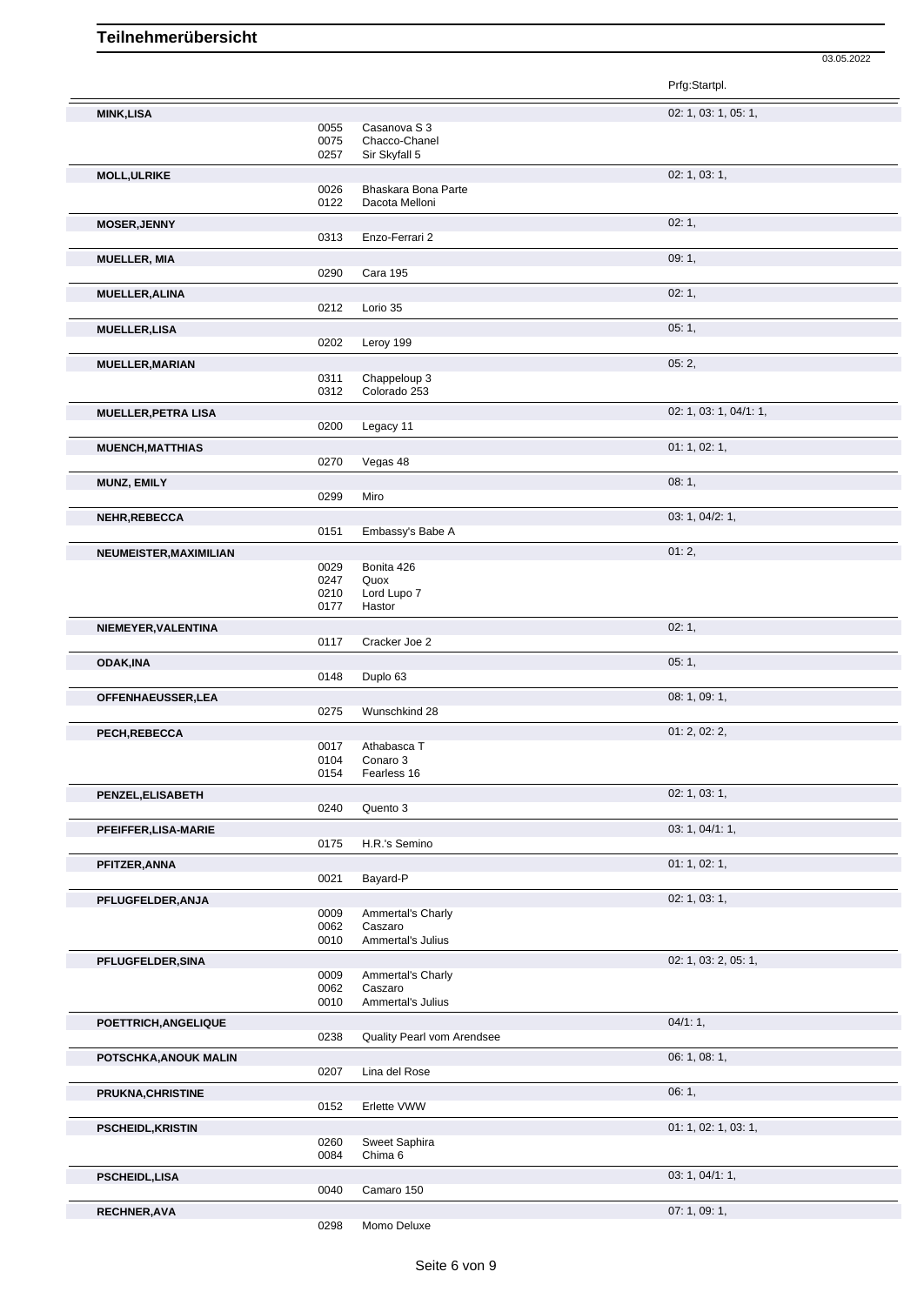Prfg:Startpl. **MINK,LISA** 02: 1, 03: 1, 05: 1, 0055 Casanova S 3<br>0075 Chacco-Chane 0075 Chacco-Chanel<br>0257 Sir Skyfall 5 Sir Skyfall 5 **MOLL,ULRIKE** 02: 1, 03: 1, 0026 Bhaskara Bona Parte 0122 Dacota Melloni **MOSER,JENNY** 02: 1, 0313 Enzo-Ferrari 2 **MUELLER, MIA** 09: 1, 0290 Cara 195 **MUELLER,ALINA** 02: 1, Lorio 35 **MUELLER,LISA** 05: 1, Leroy 199 **MUELLER,MARIAN** 05: 2, 05: 2, 05: 2, 05: 2, 05: 2, 05: 2, 05: 2, 05: 2, 05: 2, 05: 2, 05: 2, 05: 2, 05: 2, 05: 2, 05: 2, 05: 2, 0311 0311 Chappeloup 3<br>0312 Colorado 253 Colorado 253 **MUELLER, PETRA LISA** 02: 1, 03: 1, 04/1: 1, 02: 1, 03: 1, 04/1: 1, 02: 1, 03: 1, 04/1: 1, Legacy 11 **MUENCH, MATTHIAS** 0270 Vegas 48 0270 Vegas 48 Vegas 48 **MUNZ, EMILY** 08: 1, 0299 **NEHR,REBECCA** 03: 1, 04/2: 1,<br>
0151 Embassv's Babe A Embassy's Babe A **NEUMEISTER, MAXIMILIAN** 01: 2, 0029 Bonita 426 Quox Lord Lupo 7 0210 Lord Lu<br>0177 Hastor **NIEMEYER,VALENTINA** 02: 1, Cracker Joe 2 **ODAK,INA** 05: 1, 0148 Duplo 63 **OFFENHAEUSSER, LEA** 08: 1, 09: 1, 09: 1, 09: 1, 09: 1, 09: 1, 09: 1, 09: 1, 09: 1, 09: 1, 09: 1, 09: 1, 09: 1, 09: 1, 09: 1, 09: 1, 09: 1, 09: 1, 09: 1, 09: 1, 09: 1, 09: 1, 09: 1, 09: 1, 09: 1, 09: 1, 09: 1, 09: 1, 09: 1 Wunschkind 28 **PECH,REBECCA** 01: 2, 02: 2, 0017 Athabasca T<br>0104 Conaro 3 Conaro 3 0154 Fearless 16 **PENZEL,ELISABETH** 02: 1, 03: 1, 0240 Quento 3 **PFEIFFER,LISA-MARIE** 03: 1, 04/1: 1, 03: 1, 04/1: 1, 03: 1, 04/1: 1, 03: 1, 04/1: 1, 03: 1, 04/1: 1, 03: 1, 04/1: 1, H.R.'s Semino **PFITZER,ANNA** 01: 1, 02: 1, 02: 1, 02: 1, 02: 1, 02: 1, 02: 1, 02: 1, 02: 1, 02: 1, 02: 1, 02: 1, 02: 1, 02: 1, 02: 1, 02: 1, 02: 1, 02: 1, 02: 1, 02: 1, 02: 1, 02: 1, 02: 1, 02: 1, 02: 1, 02: 1, 02: 1, 02: 1, 02: 1, 02: Bayard-P **PFLUGFELDER, ANJA** 02: 1, 03: 1, 03: 1, 03: 1, 03: 1, 03: 1, 03: 1, 03: 1, 03: 1, 03: 1, 03: 1, 03: 1, 03: 1, 03: 1, 0009 Ammertal's Charly<br>0062 Caszaro 0062 Caszaro<br>0010 Ammerta Ammertal's Julius **PFLUGFELDER, SINA** 02: 1, 03: 2, 05: 1, 03: 2, 05: 1, 03: 2, 05: 1, 03: 2, 05: 1, 03: 2, 05: 1, 03: 2, 05: 1, 03: 2, 05: 1, 03: 2, 05: 1, 03: 2, 05: 1, 03: 2, 05: 1, 03: 2, 05: 1, 03: 2, 05: 1, 03: 2, 05: 1, 03: 2, 05: 1, 0009 Ammertal's Charly<br>0062 Caszaro 0062 Caszaro<br>0010 Ammerta Ammertal's Julius **POETTRICH,ANGELIQUE** 0238 Quality Pearl vom Arendsee<br>0238 Quality Pearl vom Arendsee Quality Pearl vom Arendsee **POTSCHKA,ANOUK MALIN** 0207 Lina del Rose 0207 Diamond Diamond 2007 Diamond Diamond 2007 Diamond Diamond Diamond D<br>
0207 Lina del Rose Lina del Rose **PRUKNA,CHRISTINE** 06: 1, Erlette VWW **PSCHEIDL, KRISTIN** 01: 1, 02: 1, 03: 1, 0260 Sweet Saphira 0084 Chima 6

03.05.2022

**RECHNER, AVA** 07: 1, 09: 1,

0298 Momo Deluxe

0040 Camaro 150

**PSCHEIDL,LISA** 03: 1, 04/1: 1,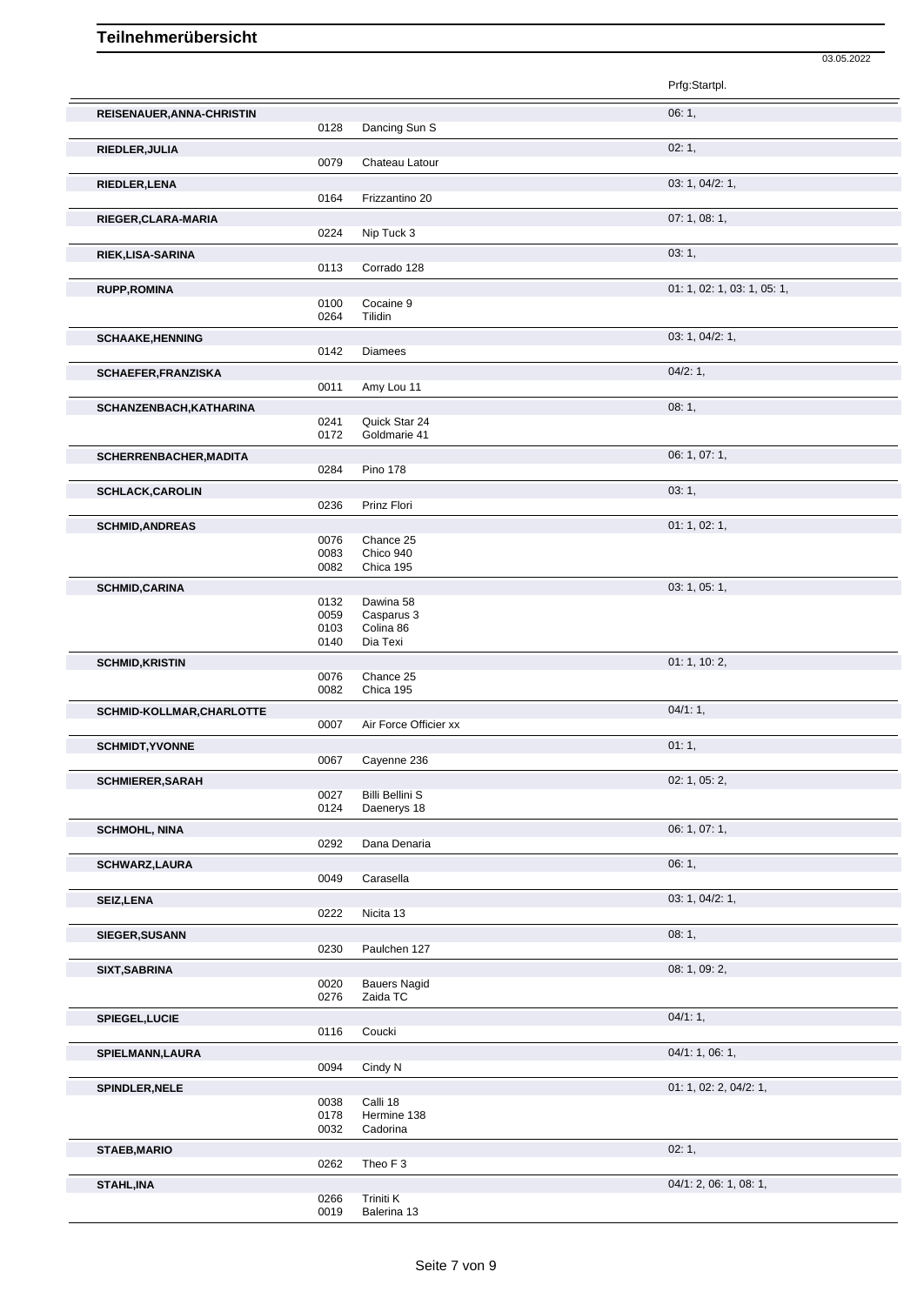| ۰. | ገ5 |  |
|----|----|--|

|                               |                              |                                                  | Prfg:Startpl.               |
|-------------------------------|------------------------------|--------------------------------------------------|-----------------------------|
| REISENAUER, ANNA-CHRISTIN     | 0128                         | Dancing Sun S                                    | 06:1,                       |
| RIEDLER, JULIA                | 0079                         | Chateau Latour                                   | 02:1,                       |
| RIEDLER, LENA                 | 0164                         | Frizzantino 20                                   | 03: 1, 04/2: 1,             |
| RIEGER, CLARA-MARIA           | 0224                         | Nip Tuck 3                                       | 07:1,08:1,                  |
| RIEK, LISA-SARINA             | 0113                         | Corrado 128                                      | 03:1,                       |
| <b>RUPP, ROMINA</b>           |                              |                                                  | 01: 1, 02: 1, 03: 1, 05: 1, |
|                               | 0100<br>0264                 | Cocaine 9<br>Tilidin                             |                             |
| <b>SCHAAKE, HENNING</b>       | 0142                         | <b>Diamees</b>                                   | 03: 1, 04/2: 1,             |
| SCHAEFER, FRANZISKA           | 0011                         | Amy Lou 11                                       | 04/2:1,                     |
| SCHANZENBACH, KATHARINA       | 0241<br>0172                 | Quick Star 24<br>Goldmarie 41                    | 08:1,                       |
| <b>SCHERRENBACHER, MADITA</b> | 0284                         | <b>Pino 178</b>                                  | 06: 1, 07: 1,               |
| <b>SCHLACK, CAROLIN</b>       | 0236                         | Prinz Flori                                      | 03:1,                       |
| <b>SCHMID, ANDREAS</b>        | 0076<br>0083<br>0082         | Chance 25<br>Chico 940<br>Chica 195              | 01: 1, 02: 1,               |
| <b>SCHMID,CARINA</b>          | 0132<br>0059<br>0103<br>0140 | Dawina 58<br>Casparus 3<br>Colina 86<br>Dia Texi | 03: 1, 05: 1,               |
| <b>SCHMID, KRISTIN</b>        | 0076                         | Chance 25                                        | 01: 1, 10: 2,               |
| SCHMID-KOLLMAR, CHARLOTTE     | 0082                         | Chica 195                                        | 04/1:1,                     |
|                               | 0007                         | Air Force Officier xx                            |                             |
| <b>SCHMIDT, YVONNE</b>        | 0067                         | Cayenne 236                                      | 01:1,                       |
| <b>SCHMIERER, SARAH</b>       | 0027<br>0124                 | <b>Billi Bellini S</b><br>Daenerys 18            | 02: 1, 05: 2,               |
| <b>SCHMOHL, NINA</b>          | 0292                         | Dana Denaria                                     | 06: 1, 07: 1,               |
| <b>SCHWARZ,LAURA</b>          | 0049                         | Carasella                                        | 06:1,                       |
| <b>SEIZ,LENA</b>              | 0222                         | Nicita 13                                        | 03: 1, 04/2: 1,             |
| SIEGER, SUSANN                | 0230                         | Paulchen 127                                     | 08:1,                       |
| SIXT, SABRINA                 | 0020<br>0276                 | <b>Bauers Nagid</b><br>Zaida TC                  | 08: 1, 09: 2,               |
| SPIEGEL, LUCIE                | 0116                         | Coucki                                           | 04/1:1,                     |
| SPIELMANN, LAURA              | 0094                         | Cindy N                                          | 04/1: 1, 06: 1,             |
| SPINDLER, NELE                | 0038<br>0178<br>0032         | Calli 18<br>Hermine 138<br>Cadorina              | 01: 1, 02: 2, 04/2: 1,      |
| <b>STAEB, MARIO</b>           | 0262                         | Theo F <sub>3</sub>                              | 02:1,                       |
| STAHL, INA                    | 0266<br>0019                 | Triniti K<br>Balerina 13                         | 04/1: 2, 06: 1, 08: 1,      |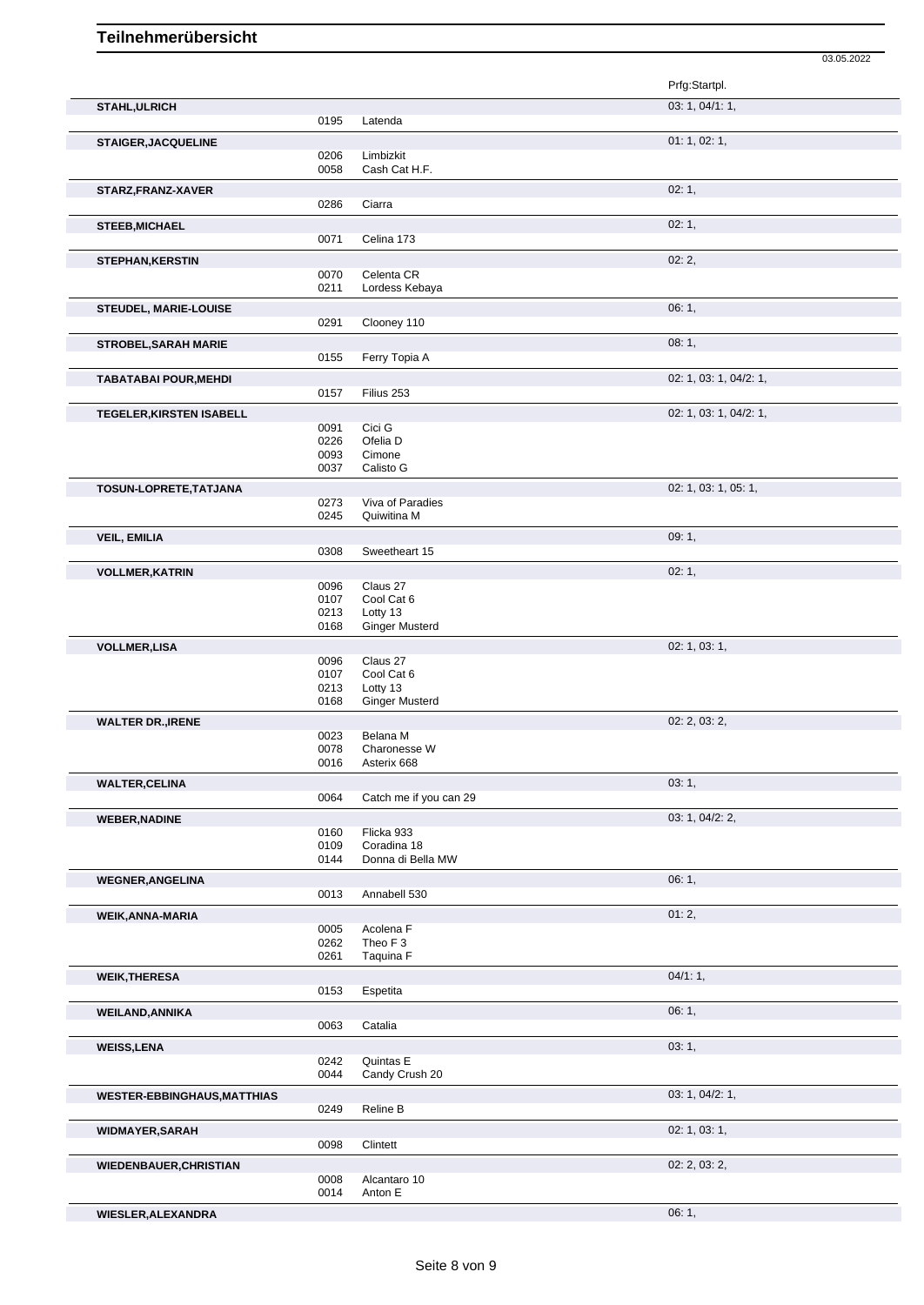|                                    |              |                                  | Prfg:Startpl.          |
|------------------------------------|--------------|----------------------------------|------------------------|
| <b>STAHL, ULRICH</b>               |              |                                  | 03: 1, 04/1: 1,        |
|                                    | 0195         | Latenda                          |                        |
| <b>STAIGER, JACQUELINE</b>         |              |                                  | 01: 1, 02: 1,          |
|                                    | 0206         | Limbizkit                        |                        |
|                                    | 0058         | Cash Cat H.F.                    |                        |
| STARZ, FRANZ-XAVER                 |              |                                  | 02:1,                  |
|                                    | 0286         | Ciarra                           |                        |
| <b>STEEB, MICHAEL</b>              |              |                                  | 02:1,                  |
|                                    | 0071         | Celina 173                       |                        |
| <b>STEPHAN, KERSTIN</b>            |              |                                  | 02:2,                  |
|                                    | 0070         | Celenta CR                       |                        |
|                                    | 0211         | Lordess Kebaya                   |                        |
| <b>STEUDEL, MARIE-LOUISE</b>       |              |                                  | 06:1,                  |
|                                    | 0291         | Clooney 110                      |                        |
| <b>STROBEL, SARAH MARIE</b>        |              |                                  | 08:1,                  |
|                                    | 0155         | Ferry Topia A                    |                        |
| <b>TABATABAI POUR, MEHDI</b>       |              |                                  | 02: 1, 03: 1, 04/2: 1, |
|                                    | 0157         | Filius 253                       |                        |
| <b>TEGELER, KIRSTEN ISABELL</b>    |              |                                  | 02: 1, 03: 1, 04/2: 1, |
|                                    | 0091         | Cici G                           |                        |
|                                    | 0226         | Ofelia D                         |                        |
|                                    | 0093         | Cimone                           |                        |
|                                    | 0037         | Calisto G                        |                        |
| TOSUN-LOPRETE, TATJANA             |              |                                  | 02: 1, 03: 1, 05: 1,   |
|                                    | 0273<br>0245 | Viva of Paradies<br>Quiwitina M  |                        |
|                                    |              |                                  |                        |
| <b>VEIL, EMILIA</b>                | 0308         | Sweetheart 15                    | 09:1,                  |
|                                    |              |                                  |                        |
| <b>VOLLMER, KATRIN</b>             | 0096         | Claus 27                         | 02:1,                  |
|                                    | 0107         | Cool Cat 6                       |                        |
|                                    | 0213         | Lotty 13                         |                        |
|                                    | 0168         | <b>Ginger Musterd</b>            |                        |
| <b>VOLLMER,LISA</b>                |              |                                  | 02: 1, 03: 1,          |
|                                    | 0096         | Claus 27                         |                        |
|                                    | 0107<br>0213 | Cool Cat 6<br>Lotty 13           |                        |
|                                    | 0168         | <b>Ginger Musterd</b>            |                        |
| <b>WALTER DR., IRENE</b>           |              |                                  | 02: 2, 03: 2,          |
|                                    | 0023         | Belana M                         |                        |
|                                    | 0078         | Charonesse W                     |                        |
|                                    | 0016         | Asterix 668                      |                        |
| <b>WALTER, CELINA</b>              |              |                                  | 03:1,                  |
|                                    | 0064         | Catch me if you can 29           |                        |
| <b>WEBER, NADINE</b>               |              |                                  | 03: 1, 04/2: 2,        |
|                                    | 0160         | Flicka 933                       |                        |
|                                    | 0109<br>0144 | Coradina 18<br>Donna di Bella MW |                        |
|                                    |              |                                  |                        |
| <b>WEGNER, ANGELINA</b>            | 0013         | Annabell 530                     | 06:1,                  |
|                                    |              |                                  |                        |
| WEIK, ANNA-MARIA                   |              |                                  | 01:2,                  |
|                                    | 0005<br>0262 | Acolena F<br>Theo F <sub>3</sub> |                        |
|                                    | 0261         | Taquina F                        |                        |
| <b>WEIK, THERESA</b>               |              |                                  | 04/1:1,                |
|                                    | 0153         | Espetita                         |                        |
|                                    |              |                                  | 06:1,                  |
| <b>WEILAND, ANNIKA</b>             | 0063         | Catalia                          |                        |
|                                    |              |                                  | 03:1,                  |
| <b>WEISS,LENA</b>                  | 0242         | Quintas E                        |                        |
|                                    | 0044         | Candy Crush 20                   |                        |
| <b>WESTER-EBBINGHAUS, MATTHIAS</b> |              |                                  | 03: 1, 04/2: 1,        |
|                                    | 0249         | Reline B                         |                        |
|                                    |              |                                  | 02: 1, 03: 1,          |
| <b>WIDMAYER, SARAH</b>             | 0098         | Clintett                         |                        |
|                                    |              |                                  | 02: 2, 03: 2,          |
| <b>WIEDENBAUER, CHRISTIAN</b>      | 0008         | Alcantaro 10                     |                        |
|                                    | 0014         | Anton E                          |                        |
| WIESLER, ALEXANDRA                 |              |                                  | 06:1,                  |
|                                    |              |                                  |                        |

03.05.2022